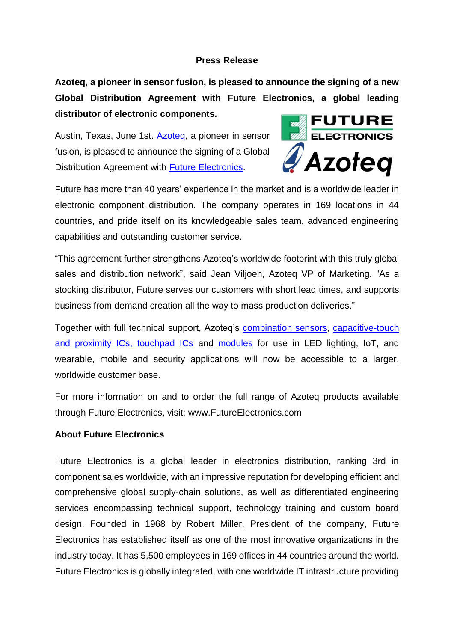## **Press Release**

**Azoteq, a pioneer in sensor fusion, is pleased to announce the signing of a new Global Distribution Agreement with Future Electronics, a global leading distributor of electronic components.**

Austin, Texas, June 1st. **Azoteg**, a pioneer in sensor fusion, is pleased to announce the signing of a Global Distribution Agreement with **Future Electronics**.



Future has more than 40 years' experience in the market and is a worldwide leader in electronic component distribution. The company operates in 169 locations in 44 countries, and pride itself on its knowledgeable sales team, advanced engineering capabilities and outstanding customer service.

"This agreement further strengthens Azoteq's worldwide footprint with this truly global sales and distribution network", said Jean Viljoen, Azoteq VP of Marketing. "As a stocking distributor, Future serves our customers with short lead times, and supports business from demand creation all the way to mass production deliveries."

Together with full technical support, Azoteq's [combination sensors,](http://www.azoteq.com/products/proxfusion.html) [capacitive-touch](http://www.azoteq.com/2017-02-09-07-38-01/proxsense.html)  [and proximity ICs, touchpad ICs](http://www.azoteq.com/2017-02-09-07-38-01/proxsense.html) and [modules](http://www.azoteq.com/2017-02-09-07-38-01/modules.html) for use in LED lighting, IoT, and wearable, mobile and security applications will now be accessible to a larger, worldwide customer base.

For more information on and to order the full range of Azoteq products available through Future Electronics, visit: [www.FutureElectronics.com](http://www.futureelectronics.com/)

## **About Future Electronics**

Future Electronics is a global leader in electronics distribution, ranking 3rd in component sales worldwide, with an impressive reputation for developing efficient and comprehensive global supply-chain solutions, as well as differentiated engineering services encompassing technical support, technology training and custom board design. Founded in 1968 by Robert Miller, President of the company, Future Electronics has established itself as one of the most innovative organizations in the industry today. It has 5,500 employees in 169 offices in 44 countries around the world. Future Electronics is globally integrated, with one worldwide IT infrastructure providing